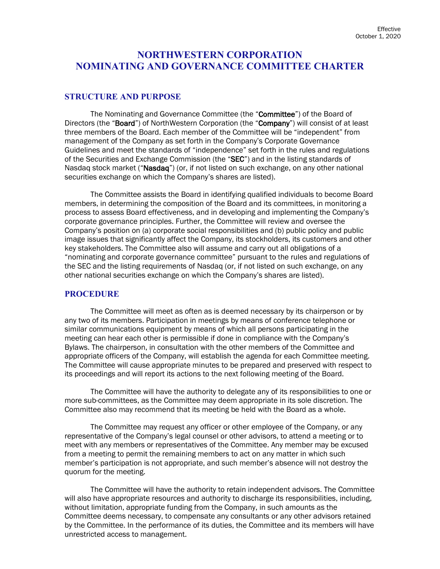# **NORTHWESTERN CORPORATION NOMINATING AND GOVERNANCE COMMITTEE CHARTER**

### **STRUCTURE AND PURPOSE**

The Nominating and Governance Committee (the "Committee") of the Board of Directors (the "Board") of NorthWestern Corporation (the "Company") will consist of at least three members of the Board. Each member of the Committee will be "independent" from management of the Company as set forth in the Company's Corporate Governance Guidelines and meet the standards of "independence" set forth in the rules and regulations of the Securities and Exchange Commission (the "SEC") and in the listing standards of Nasdaq stock market ("Nasdaq") (or, if not listed on such exchange, on any other national securities exchange on which the Company's shares are listed).

The Committee assists the Board in identifying qualified individuals to become Board members, in determining the composition of the Board and its committees, in monitoring a process to assess Board effectiveness, and in developing and implementing the Company's corporate governance principles. Further, the Committee will review and oversee the Company's position on (a) corporate social responsibilities and (b) public policy and public image issues that significantly affect the Company, its stockholders, its customers and other key stakeholders. The Committee also will assume and carry out all obligations of a "nominating and corporate governance committee" pursuant to the rules and regulations of the SEC and the listing requirements of Nasdaq (or, if not listed on such exchange, on any other national securities exchange on which the Company's shares are listed).

#### **PROCEDURE**

The Committee will meet as often as is deemed necessary by its chairperson or by any two of its members. Participation in meetings by means of conference telephone or similar communications equipment by means of which all persons participating in the meeting can hear each other is permissible if done in compliance with the Company's Bylaws. The chairperson, in consultation with the other members of the Committee and appropriate officers of the Company, will establish the agenda for each Committee meeting. The Committee will cause appropriate minutes to be prepared and preserved with respect to its proceedings and will report its actions to the next following meeting of the Board.

The Committee will have the authority to delegate any of its responsibilities to one or more sub-committees, as the Committee may deem appropriate in its sole discretion. The Committee also may recommend that its meeting be held with the Board as a whole.

The Committee may request any officer or other employee of the Company, or any representative of the Company's legal counsel or other advisors, to attend a meeting or to meet with any members or representatives of the Committee. Any member may be excused from a meeting to permit the remaining members to act on any matter in which such member's participation is not appropriate, and such member's absence will not destroy the quorum for the meeting.

The Committee will have the authority to retain independent advisors. The Committee will also have appropriate resources and authority to discharge its responsibilities, including, without limitation, appropriate funding from the Company, in such amounts as the Committee deems necessary, to compensate any consultants or any other advisors retained by the Committee. In the performance of its duties, the Committee and its members will have unrestricted access to management.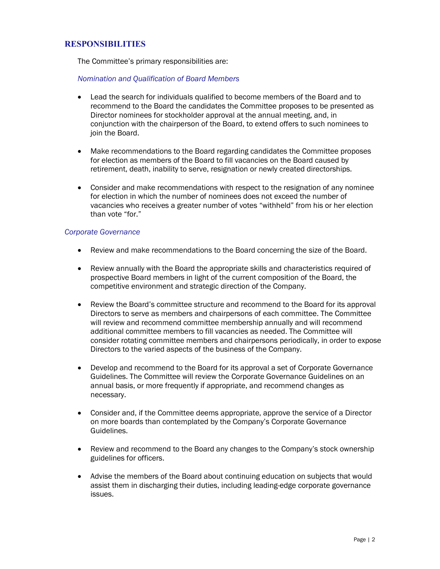### **RESPONSIBILITIES**

The Committee's primary responsibilities are:

#### *Nomination and Qualification of Board Members*

- Lead the search for individuals qualified to become members of the Board and to recommend to the Board the candidates the Committee proposes to be presented as Director nominees for stockholder approval at the annual meeting, and, in conjunction with the chairperson of the Board, to extend offers to such nominees to join the Board.
- Make recommendations to the Board regarding candidates the Committee proposes for election as members of the Board to fill vacancies on the Board caused by retirement, death, inability to serve, resignation or newly created directorships.
- Consider and make recommendations with respect to the resignation of any nominee for election in which the number of nominees does not exceed the number of vacancies who receives a greater number of votes "withheld" from his or her election than vote "for."

#### *Corporate Governance*

- Review and make recommendations to the Board concerning the size of the Board.
- Review annually with the Board the appropriate skills and characteristics required of prospective Board members in light of the current composition of the Board, the competitive environment and strategic direction of the Company.
- Review the Board's committee structure and recommend to the Board for its approval Directors to serve as members and chairpersons of each committee. The Committee will review and recommend committee membership annually and will recommend additional committee members to fill vacancies as needed. The Committee will consider rotating committee members and chairpersons periodically, in order to expose Directors to the varied aspects of the business of the Company.
- Develop and recommend to the Board for its approval a set of Corporate Governance Guidelines. The Committee will review the Corporate Governance Guidelines on an annual basis, or more frequently if appropriate, and recommend changes as necessary.
- Consider and, if the Committee deems appropriate, approve the service of a Director on more boards than contemplated by the Company's Corporate Governance Guidelines.
- Review and recommend to the Board any changes to the Company's stock ownership guidelines for officers.
- Advise the members of the Board about continuing education on subjects that would assist them in discharging their duties, including leading-edge corporate governance issues.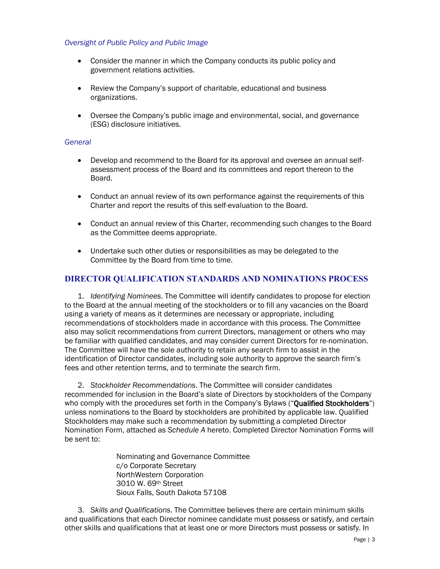#### *Oversight of Public Policy and Public Image*

- Consider the manner in which the Company conducts its public policy and government relations activities.
- Review the Company's support of charitable, educational and business organizations.
- Oversee the Company's public image and environmental, social, and governance (ESG) disclosure initiatives.

#### *General*

- Develop and recommend to the Board for its approval and oversee an annual selfassessment process of the Board and its committees and report thereon to the Board.
- Conduct an annual review of its own performance against the requirements of this Charter and report the results of this self-evaluation to the Board.
- Conduct an annual review of this Charter, recommending such changes to the Board as the Committee deems appropriate.
- Undertake such other duties or responsibilities as may be delegated to the Committee by the Board from time to time.

## **DIRECTOR QUALIFICATION STANDARDS AND NOMINATIONS PROCESS**

1. *Identifying Nominees*. The Committee will identify candidates to propose for election to the Board at the annual meeting of the stockholders or to fill any vacancies on the Board using a variety of means as it determines are necessary or appropriate, including recommendations of stockholders made in accordance with this process. The Committee also may solicit recommendations from current Directors, management or others who may be familiar with qualified candidates, and may consider current Directors for re-nomination. The Committee will have the sole authority to retain any search firm to assist in the identification of Director candidates, including sole authority to approve the search firm's fees and other retention terms, and to terminate the search firm.

2. *Stockholder Recommendations*. The Committee will consider candidates recommended for inclusion in the Board's slate of Directors by stockholders of the Company who comply with the procedures set forth in the Company's Bylaws ("Qualified Stockholders") unless nominations to the Board by stockholders are prohibited by applicable law. Qualified Stockholders may make such a recommendation by submitting a completed Director Nomination Form, attached as *Schedule A* hereto. Completed Director Nomination Forms will be sent to:

> Nominating and Governance Committee c/o Corporate Secretary NorthWestern Corporation 3010 W. 69th Street Sioux Falls, South Dakota 57108

3. *Skills and Qualifications*. The Committee believes there are certain minimum skills and qualifications that each Director nominee candidate must possess or satisfy, and certain other skills and qualifications that at least one or more Directors must possess or satisfy. In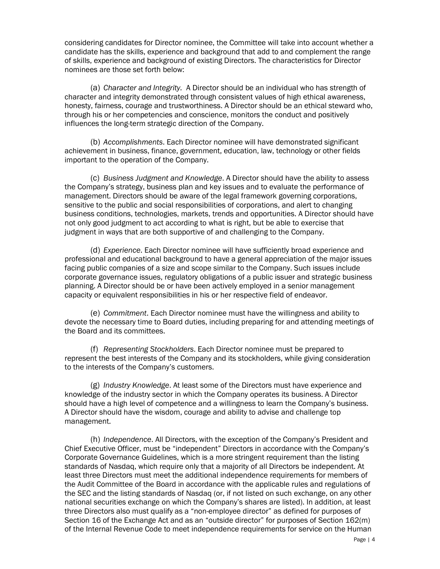considering candidates for Director nominee, the Committee will take into account whether a candidate has the skills, experience and background that add to and complement the range of skills, experience and background of existing Directors. The characteristics for Director nominees are those set forth below:

(a) *Character and Integrity.* A Director should be an individual who has strength of character and integrity demonstrated through consistent values of high ethical awareness, honesty, fairness, courage and trustworthiness. A Director should be an ethical steward who, through his or her competencies and conscience, monitors the conduct and positively influences the long-term strategic direction of the Company.

(b) *Accomplishments*. Each Director nominee will have demonstrated significant achievement in business, finance, government, education, law, technology or other fields important to the operation of the Company.

(c) *Business Judgment and Knowledge*. A Director should have the ability to assess the Company's strategy, business plan and key issues and to evaluate the performance of management. Directors should be aware of the legal framework governing corporations, sensitive to the public and social responsibilities of corporations, and alert to changing business conditions, technologies, markets, trends and opportunities. A Director should have not only good judgment to act according to what is right, but be able to exercise that judgment in ways that are both supportive of and challenging to the Company.

(d) *Experience*. Each Director nominee will have sufficiently broad experience and professional and educational background to have a general appreciation of the major issues facing public companies of a size and scope similar to the Company. Such issues include corporate governance issues, regulatory obligations of a public issuer and strategic business planning. A Director should be or have been actively employed in a senior management capacity or equivalent responsibilities in his or her respective field of endeavor.

(e) *Commitment*. Each Director nominee must have the willingness and ability to devote the necessary time to Board duties, including preparing for and attending meetings of the Board and its committees.

(f) *Representing Stockholders*. Each Director nominee must be prepared to represent the best interests of the Company and its stockholders, while giving consideration to the interests of the Company's customers.

(g) *Industry Knowledge*. At least some of the Directors must have experience and knowledge of the industry sector in which the Company operates its business. A Director should have a high level of competence and a willingness to learn the Company's business. A Director should have the wisdom, courage and ability to advise and challenge top management.

(h) *Independence*. All Directors, with the exception of the Company's President and Chief Executive Officer, must be "independent" Directors in accordance with the Company's Corporate Governance Guidelines, which is a more stringent requirement than the listing standards of Nasdaq, which require only that a majority of all Directors be independent. At least three Directors must meet the additional independence requirements for members of the Audit Committee of the Board in accordance with the applicable rules and regulations of the SEC and the listing standards of Nasdaq (or, if not listed on such exchange, on any other national securities exchange on which the Company's shares are listed). In addition, at least three Directors also must qualify as a "non-employee director" as defined for purposes of Section 16 of the Exchange Act and as an "outside director" for purposes of Section 162(m) of the Internal Revenue Code to meet independence requirements for service on the Human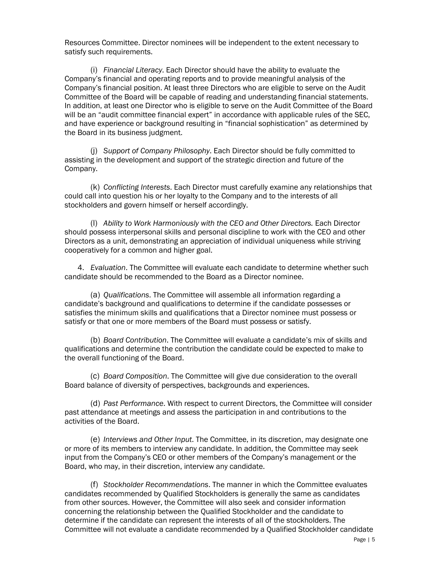Resources Committee. Director nominees will be independent to the extent necessary to satisfy such requirements.

(i) *Financial Literacy*. Each Director should have the ability to evaluate the Company's financial and operating reports and to provide meaningful analysis of the Company's financial position. At least three Directors who are eligible to serve on the Audit Committee of the Board will be capable of reading and understanding financial statements. In addition, at least one Director who is eligible to serve on the Audit Committee of the Board will be an "audit committee financial expert" in accordance with applicable rules of the SEC, and have experience or background resulting in "financial sophistication" as determined by the Board in its business judgment.

(j) *Support of Company Philosophy*. Each Director should be fully committed to assisting in the development and support of the strategic direction and future of the Company.

(k) *Conflicting Interests*. Each Director must carefully examine any relationships that could call into question his or her loyalty to the Company and to the interests of all stockholders and govern himself or herself accordingly.

(l) *Ability to Work Harmoniously with the CEO and Other Directors.* Each Director should possess interpersonal skills and personal discipline to work with the CEO and other Directors as a unit, demonstrating an appreciation of individual uniqueness while striving cooperatively for a common and higher goal.

4. *Evaluation*. The Committee will evaluate each candidate to determine whether such candidate should be recommended to the Board as a Director nominee.

(a) *Qualifications*. The Committee will assemble all information regarding a candidate's background and qualifications to determine if the candidate possesses or satisfies the minimum skills and qualifications that a Director nominee must possess or satisfy or that one or more members of the Board must possess or satisfy.

(b) *Board Contribution*. The Committee will evaluate a candidate's mix of skills and qualifications and determine the contribution the candidate could be expected to make to the overall functioning of the Board.

(c) *Board Composition*. The Committee will give due consideration to the overall Board balance of diversity of perspectives, backgrounds and experiences.

(d) *Past Performance*. With respect to current Directors, the Committee will consider past attendance at meetings and assess the participation in and contributions to the activities of the Board.

(e) *Interviews and Other Input*. The Committee, in its discretion, may designate one or more of its members to interview any candidate. In addition, the Committee may seek input from the Company's CEO or other members of the Company's management or the Board, who may, in their discretion, interview any candidate.

(f) *Stockholder Recommendations*. The manner in which the Committee evaluates candidates recommended by Qualified Stockholders is generally the same as candidates from other sources. However, the Committee will also seek and consider information concerning the relationship between the Qualified Stockholder and the candidate to determine if the candidate can represent the interests of all of the stockholders. The Committee will not evaluate a candidate recommended by a Qualified Stockholder candidate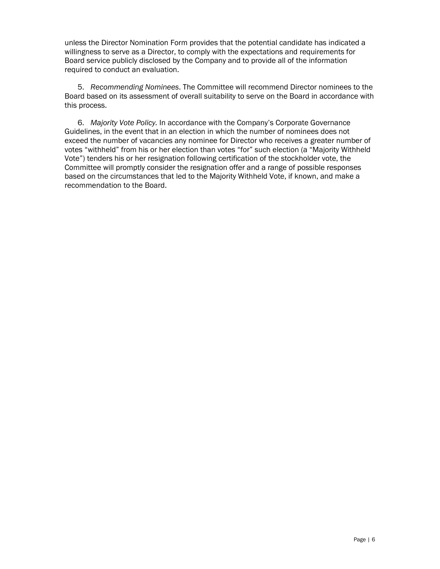unless the Director Nomination Form provides that the potential candidate has indicated a willingness to serve as a Director, to comply with the expectations and requirements for Board service publicly disclosed by the Company and to provide all of the information required to conduct an evaluation.

5. *Recommending Nominees*. The Committee will recommend Director nominees to the Board based on its assessment of overall suitability to serve on the Board in accordance with this process.

6. *Majority Vote Policy.* In accordance with the Company's Corporate Governance Guidelines, in the event that in an election in which the number of nominees does not exceed the number of vacancies any nominee for Director who receives a greater number of votes "withheld" from his or her election than votes "for" such election (a "Majority Withheld Vote") tenders his or her resignation following certification of the stockholder vote, the Committee will promptly consider the resignation offer and a range of possible responses based on the circumstances that led to the Majority Withheld Vote, if known, and make a recommendation to the Board.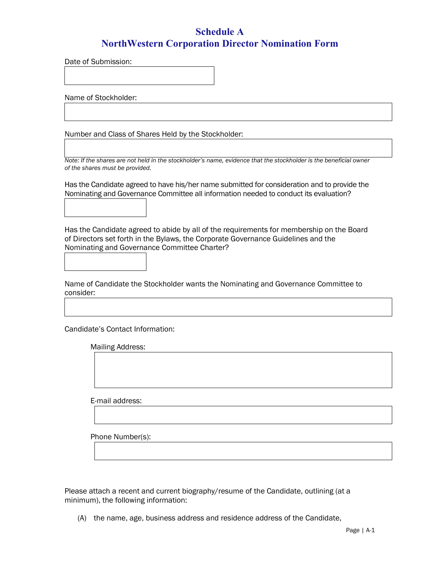# **Schedule A NorthWestern Corporation Director Nomination Form**

Date of Submission:

Name of Stockholder:

Number and Class of Shares Held by the Stockholder:

*Note: If the shares are not held in the stockholder's name, evidence that the stockholder is the beneficial owner of the shares must be provided.*

Has the Candidate agreed to have his/her name submitted for consideration and to provide the Nominating and Governance Committee all information needed to conduct its evaluation?

Has the Candidate agreed to abide by all of the requirements for membership on the Board of Directors set forth in the Bylaws, the Corporate Governance Guidelines and the Nominating and Governance Committee Charter?

Name of Candidate the Stockholder wants the Nominating and Governance Committee to consider:

Candidate's Contact Information:

| Mailing Address: |  |  |  |
|------------------|--|--|--|
|                  |  |  |  |
|                  |  |  |  |
|                  |  |  |  |
|                  |  |  |  |
|                  |  |  |  |
| E-mail address:  |  |  |  |
|                  |  |  |  |
|                  |  |  |  |
|                  |  |  |  |
| Phone Number(s): |  |  |  |
|                  |  |  |  |
|                  |  |  |  |

Please attach a recent and current biography/resume of the Candidate, outlining (at a minimum), the following information:

(A) the name, age, business address and residence address of the Candidate,